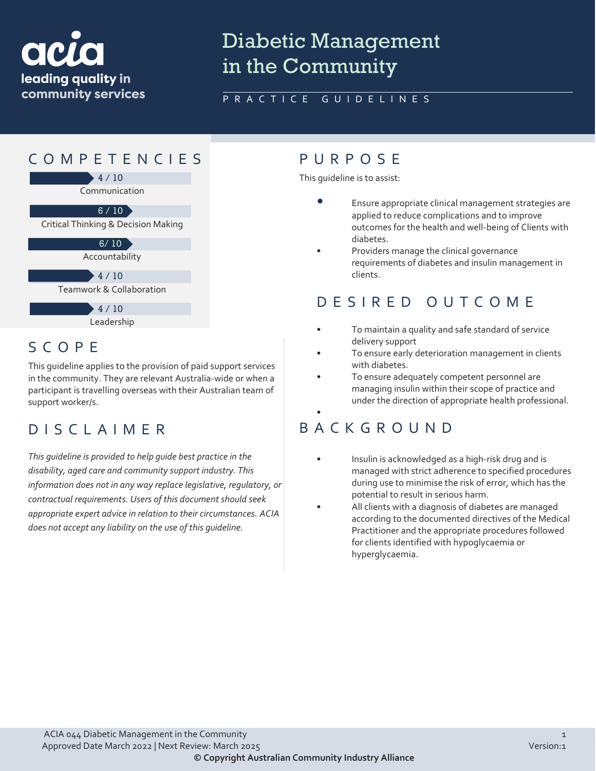

# Diabetic Management in the Community

### PRACTICE GUIDELINES

### COMPETENCIES PURPOS E Communication  $+4/10$ Critical Thinking & Decision Making  $6 / 10$ Accountability  $6/10$ Teamwork & Collaboration 10 / 10 4 / 10Leadership  $+4/10$

### SCOPE

This guideline applies to the provision of paid support services in the community. They are relevant Australia-wide or when a participant is travelling overseas with their Australian team of support worker/s.

### DISCLAIMER

*This guideline is provided to help guide best practice in the disability, aged care and community support industry. This information does not in any way replace legislative, regulatory, or contractual requirements. Users of this document should seek appropriate expert advice in relation to their circumstances. ACIA does not accept any liability on the use of this guideline.*

This guideline is to assist:

- Ensure appropriate clinical management strategies are applied to reduce complications and to improve outcomes for the health and well-being of Clients with diabetes.
- Providers manage the clinical governance requirements of diabetes and insulin management in clients.

### DESIRED OUTCOME

- To maintain a quality and safe standard of service delivery support
- To ensure early deterioration management in clients with diabetes.
- To ensure adequately competent personnel are managing insulin within their scope of practice and under the direction of appropriate health professional.

### • BACKGROUND

- Insulin is acknowledged as a high-risk drug and is managed with strict adherence to specified procedures during use to minimise the risk of error, which has the potential to result in serious harm.
- All clients with a diagnosis of diabetes are managed according to the documented directives of the Medical Practitioner and the appropriate procedures followed for clients identified with hypoglycaemia or hyperglycaemia.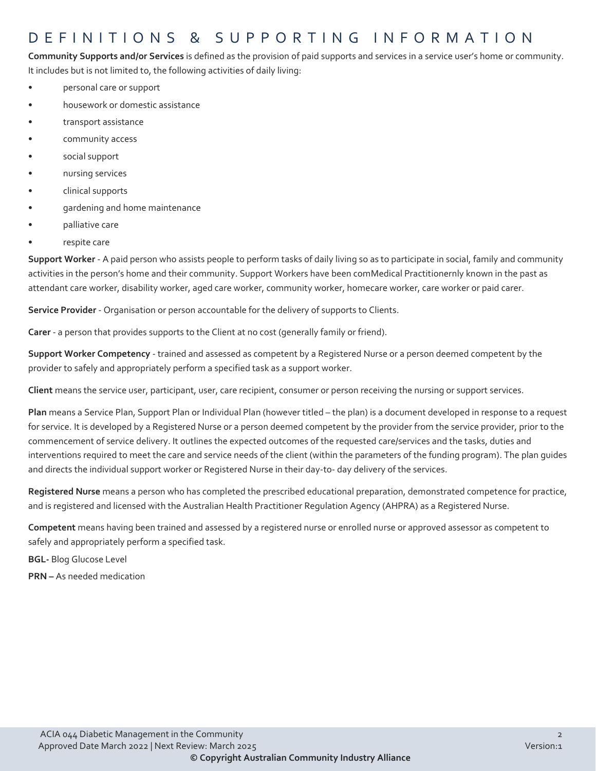### DEFINITIONS & SUPPORTING INFORMATIO N

**Community Supports and/or Services** is defined as the provision of paid supports and services in a service user's home or community. It includes but is not limited to, the following activities of daily living:

- personal care or support
- housework or domestic assistance
- transport assistance
- community access
- social support
- nursing services
- clinical supports
- gardening and home maintenance
- palliative care
- respite care

**Support Worker** - A paid person who assists people to perform tasks of daily living so as to participate in social, family and community activities in the person's home and their community. Support Workers have been comMedical Practitionernly known in the past as attendant care worker, disability worker, aged care worker, community worker, homecare worker, care worker or paid carer.

**Service Provider** - Organisation or person accountable for the delivery of supports to Clients.

**Carer** - a person that provides supports to the Client at no cost (generally family or friend).

**Support Worker Competency** - trained and assessed as competent by a Registered Nurse or a person deemed competent by the provider to safely and appropriately perform a specified task as a support worker.

**Client** means the service user, participant, user, care recipient, consumer or person receiving the nursing or support services.

**Plan** means a Service Plan, Support Plan or Individual Plan (however titled – the plan) is a document developed in response to a request for service. It is developed by a Registered Nurse or a person deemed competent by the provider from the service provider, prior to the commencement of service delivery. It outlines the expected outcomes of the requested care/services and the tasks, duties and interventions required to meet the care and service needs of the client (within the parameters of the funding program). The plan guides and directs the individual support worker or Registered Nurse in their day-to- day delivery of the services.

**Registered Nurse** means a person who has completed the prescribed educational preparation, demonstrated competence for practice, and is registered and licensed with the Australian Health Practitioner Regulation Agency (AHPRA) as a Registered Nurse.

**Competent** means having been trained and assessed by a registered nurse or enrolled nurse or approved assessor as competent to safely and appropriately perform a specified task.

**BGL-** Blog Glucose Level

**PRN –** As needed medication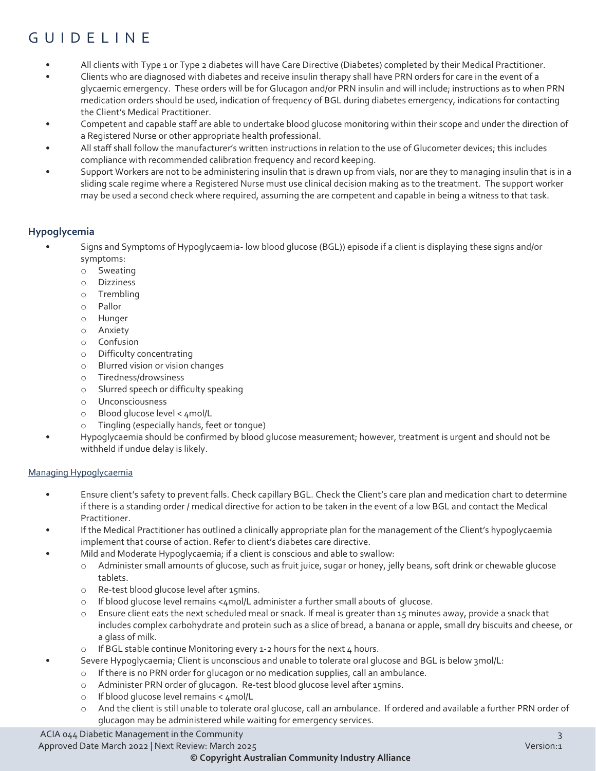## GUIDELINE

- All clients with Type 1 or Type 2 diabetes will have Care Directive (Diabetes) completed by their Medical Practitioner.
- Clients who are diagnosed with diabetes and receive insulin therapy shall have PRN orders for care in the event of a glycaemic emergency. These orders will be for Glucagon and/or PRN insulin and will include; instructions as to when PRN medication orders should be used, indication of frequency of BGL during diabetes emergency, indications for contacting the Client's Medical Practitioner.
- Competent and capable staff are able to undertake blood glucose monitoring within their scope and under the direction of a Registered Nurse or other appropriate health professional.
- All staff shall follow the manufacturer's written instructions in relation to the use of Glucometer devices; this includes compliance with recommended calibration frequency and record keeping.
- Support Workers are not to be administering insulin that is drawn up from vials, nor are they to managing insulin that is in a sliding scale regime where a Registered Nurse must use clinical decision making as to the treatment. The support worker may be used a second check where required, assuming the are competent and capable in being a witness to that task.

#### **Hypoglycemia**

- Signs and Symptoms of Hypoglycaemia- low blood glucose (BGL)) episode if a client is displaying these signs and/or symptoms:
	- o Sweating
	- o Dizziness
	- o Trembling
	- o Pallor
	- o Hunger
	- o Anxiety
	- o Confusion
	- o Difficulty concentrating
	- o Blurred vision or vision changes
	- o Tiredness/drowsiness
	- o Slurred speech or difficulty speaking
	- o Unconsciousness
	- o Blood glucose level < 4mol/L
	- o Tingling (especially hands, feet or tongue)
	- Hypoglycaemia should be confirmed by blood glucose measurement; however, treatment is urgent and should not be withheld if undue delay is likely.

#### Managing Hypoglycaemia

- Ensure client's safety to prevent falls. Check capillary BGL. Check the Client's care plan and medication chart to determine if there is a standing order / medical directive for action to be taken in the event of a low BGL and contact the Medical Practitioner.
- If the Medical Practitioner has outlined a clinically appropriate plan for the management of the Client's hypoglycaemia implement that course of action. Refer to client's diabetes care directive.
- Mild and Moderate Hypoglycaemia; if a client is conscious and able to swallow:
	- o Administer small amounts of glucose, such as fruit juice, sugar or honey, jelly beans, soft drink or chewable glucose tablets.
	- o Re-test blood glucose level after 15mins.
	- $\circ$  If blood glucose level remains <4mol/L administer a further small abouts of glucose.
	- o Ensure client eats the next scheduled meal or snack. If meal is greater than 15 minutes away, provide a snack that includes complex carbohydrate and protein such as a slice of bread, a banana or apple, small dry biscuits and cheese, or a glass of milk.
	- $\circ$  If BGL stable continue Monitoring every 1-2 hours for the next 4 hours.
	- Severe Hypoglycaemia; Client is unconscious and unable to tolerate oral glucose and BGL is below 3mol/L:
		- o If there is no PRN order for glucagon or no medication supplies, call an ambulance.
		- o Administer PRN order of glucagon. Re-test blood glucose level after 15mins.
		- o If blood glucose level remains < 4mol/L
		- And the client is still unable to tolerate oral glucose, call an ambulance. If ordered and available a further PRN order of glucagon may be administered while waiting for emergency services.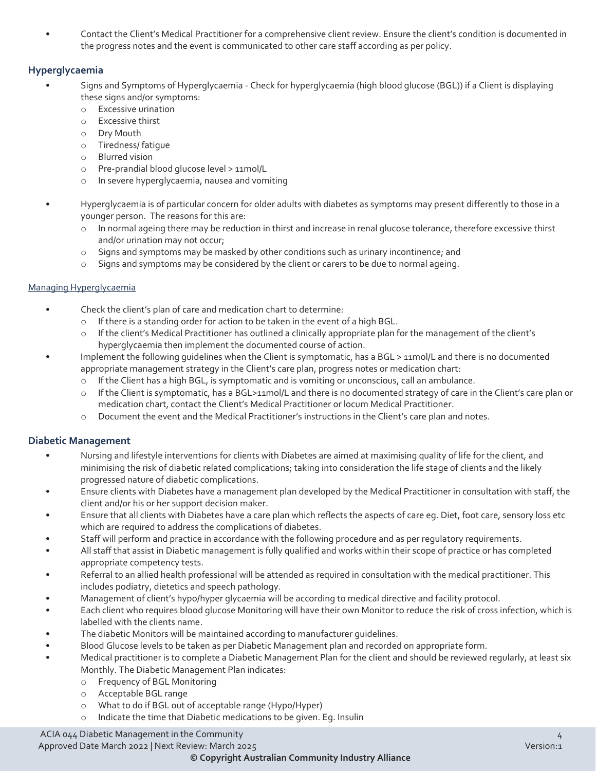• Contact the Client's Medical Practitioner for a comprehensive client review. Ensure the client's condition is documented in the progress notes and the event is communicated to other care staff according as per policy.

#### **Hyperglycaemia**

- Signs and Symptoms of Hyperglycaemia Check for hyperglycaemia (high blood glucose (BGL)) if a Client is displaying these signs and/or symptoms:
	- o Excessive urination
	- o Excessive thirst
	- o Dry Mouth
	- o Tiredness/ fatigue
	- o Blurred vision
	- Pre-prandial blood glucose level > 11mol/L
	- o In severe hyperglycaemia, nausea and vomiting
- Hyperglycaemia is of particular concern for older adults with diabetes as symptoms may present differently to those in a younger person. The reasons for this are:
	- o In normal ageing there may be reduction in thirst and increase in renal glucose tolerance, therefore excessive thirst and/or urination may not occur;
	- o Signs and symptoms may be masked by other conditions such as urinary incontinence; and
	- o Signs and symptoms may be considered by the client or carers to be due to normal ageing.

#### Managing Hyperglycaemia

- Check the client's plan of care and medication chart to determine:
	- o If there is a standing order for action to be taken in the event of a high BGL.
	- o If the client's Medical Practitioner has outlined a clinically appropriate plan for the management of the client's hyperglycaemia then implement the documented course of action.
- Implement the following quidelines when the Client is symptomatic, has a BGL > 11mol/L and there is no documented appropriate management strategy in the Client's care plan, progress notes or medication chart:
	- o If the Client has a high BGL, is symptomatic and is vomiting or unconscious, call an ambulance.
	- o If the Client is symptomatic, has a BGL>11mol/L and there is no documented strategy of care in the Client's care plan or medication chart, contact the Client's Medical Practitioner or locum Medical Practitioner.
	- o Document the event and the Medical Practitioner's instructions in the Client's care plan and notes.

#### **Diabetic Management**

- Nursing and lifestyle interventions for clients with Diabetes are aimed at maximising quality of life for the client, and minimising the risk of diabetic related complications; taking into consideration the life stage of clients and the likely progressed nature of diabetic complications.
- Ensure clients with Diabetes have a management plan developed by the Medical Practitioner in consultation with staff, the client and/or his or her support decision maker.
- Ensure that all clients with Diabetes have a care plan which reflects the aspects of care eg. Diet, foot care, sensory loss etc which are required to address the complications of diabetes.
- Staff will perform and practice in accordance with the following procedure and as per regulatory requirements.
- All staff that assist in Diabetic management is fully qualified and works within their scope of practice or has completed appropriate competency tests.
- Referral to an allied health professional will be attended as required in consultation with the medical practitioner. This includes podiatry, dietetics and speech pathology.
- Management of client's hypo/hyper glycaemia will be according to medical directive and facility protocol.
- Each client who requires blood glucose Monitoring will have their own Monitor to reduce the risk of cross infection, which is labelled with the clients name.
- The diabetic Monitors will be maintained according to manufacturer guidelines.
- Blood Glucose levels to be taken as per Diabetic Management plan and recorded on appropriate form.
- Medical practitioner is to complete a Diabetic Management Plan for the client and should be reviewed regularly, at least six Monthly. The Diabetic Management Plan indicates:
	- o Frequency of BGL Monitoring
	- o Acceptable BGL range
	- o What to do if BGL out of acceptable range (Hypo/Hyper)
	- o Indicate the time that Diabetic medications to be given. Eg. Insulin

### ACIA 044 Diabetic Management in the Community 4

Approved Date March 2022 | Next Review: March 2025 Version:1